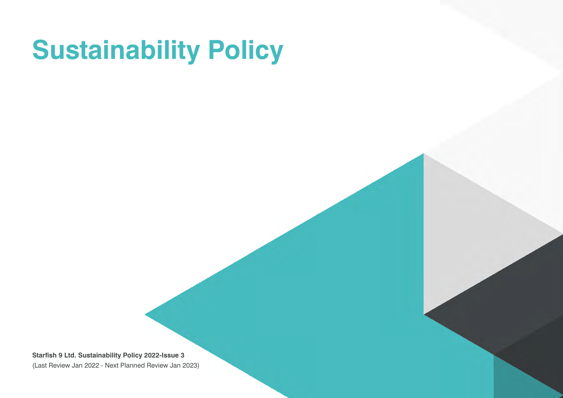# **Sustainability Policy**

**Starfish 9 Ltd. Sustainability Policy 2022-Issue 3** (Last Review Jan 2022 - Next Planned Review Jan 2023)